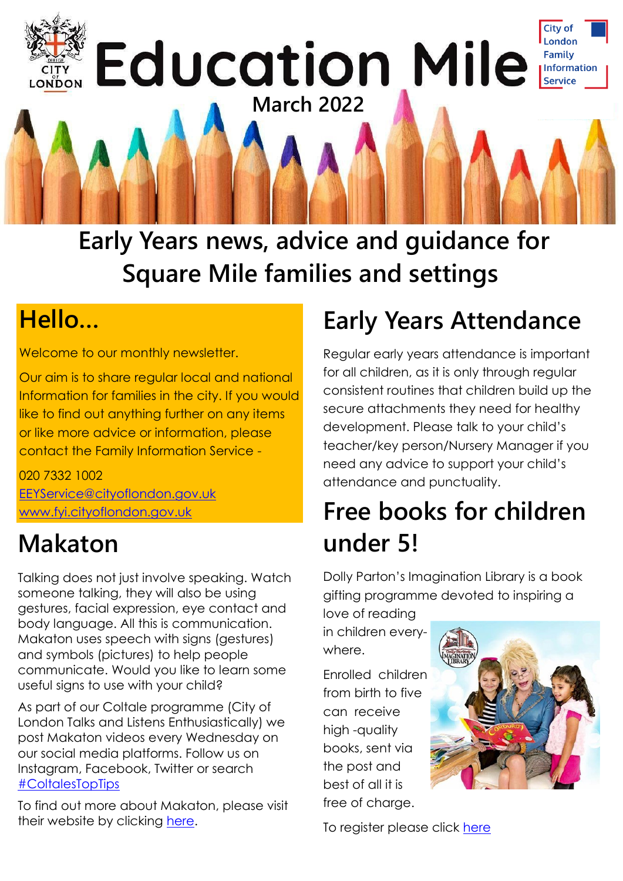

**Early Years news, advice and guidance for Square Mile families and settings**

#### **Hello…**

Welcome to our monthly newsletter.

Our aim is to share regular local and national Information for families in the city. If you would like to find out anything further on any items or like more advice or information, please contact the Family Information Service -

020 7332 1002 [EEYService@cityoflondon.gov.uk](mailto:EEYService@cityoflondon.gov.uk) [www.fyi.cityoflondon.gov.uk](http://www.fyi.cityoflondon.gov.uk)

### **Makaton**

Talking does not just involve speaking. Watch someone talking, they will also be using gestures, facial expression, eye contact and body language. All this is communication. Makaton uses speech with signs (gestures) and symbols (pictures) to help people communicate. Would you like to learn some useful signs to use with your child?

As part of our Coltale programme (City of London Talks and Listens Enthusiastically) we post Makaton videos every Wednesday on our social media platforms. Follow us on Instagram, Facebook, Twitter or search [#ColtalesTopTips](https://twitter.com/hashtag/ColtalesTopTips?src=hashtag_click)

To find out more about Makaton, please visit their website by clicking [here.](https://makaton.org/)

### **Early Years Attendance**

Regular early years attendance is important for all children, as it is only through regular consistent routines that children build up the secure attachments they need for healthy development. Please talk to your child's teacher/key person/Nursery Manager if you need any advice to support your child's attendance and punctuality.

### **Free books for children under 5!**

Dolly Parton's Imagination Library is a book gifting programme devoted to inspiring a

love of reading in children everywhere.

Enrolled children from birth to five can receive high -quality books, sent via the post and best of all it is free of charge.



To register please click [here](https://www.fis.cityoflondon.gov.uk/education-and-schools/early-years-0-5-education/dpil)